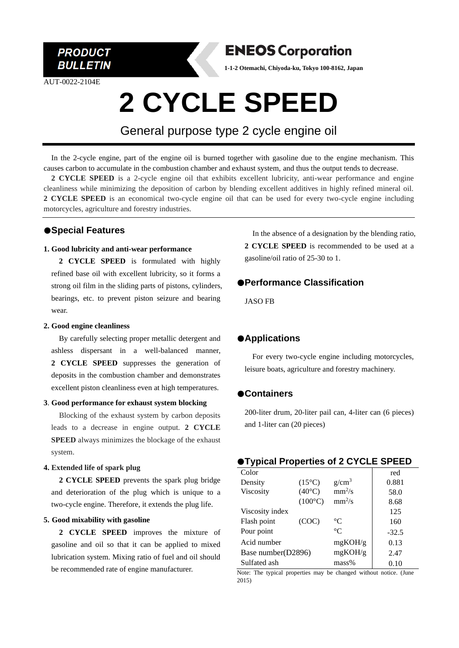

AUT-0022-2104E



**1-1-2 Otemachi, Chiyoda-ku, Tokyo 100-8162, Japan**

# **2 CYCLE SPEED**

General purpose type 2 cycle engine oil

In the 2-cycle engine, part of the engine oil is burned together with gasoline due to the engine mechanism. This causes carbon to accumulate in the combustion chamber and exhaust system, and thus the output tends to decrease.

**2 CYCLE SPEED** is a 2-cycle engine oil that exhibits excellent lubricity, anti-wear performance and engine cleanliness while minimizing the deposition of carbon by blending excellent additives in highly refined mineral oil. **2 CYCLE SPEED** is an economical two-cycle engine oil that can be used for every two-cycle engine including motorcycles, agriculture and forestry industries.

## ●**Special Features**

#### **1. Good lubricity and anti-wear performance**

**2 CYCLE SPEED** is formulated with highly refined base oil with excellent lubricity, so it forms a strong oil film in the sliding parts of pistons, cylinders, bearings, etc. to prevent piston seizure and bearing wear.

#### **2. Good engine cleanliness**

By carefully selecting proper metallic detergent and ashless dispersant in a well-balanced manner, **2 CYCLE SPEED** suppresses the generation of deposits in the combustion chamber and demonstrates excellent piston cleanliness even at high temperatures.

#### **3**. **Good performance for exhaust system blocking**

Blocking of the exhaust system by carbon deposits leads to a decrease in engine output. **2 CYCLE SPEED** always minimizes the blockage of the exhaust system.

#### **4. Extended life of spark plug**

**2 CYCLE SPEED** prevents the spark plug bridge and deterioration of the plug which is unique to a two-cycle engine. Therefore, it extends the plug life.

#### **5. Good mixability with gasoline**

**2 CYCLE SPEED** improves the mixture of gasoline and oil so that it can be applied to mixed lubrication system. Mixing ratio of fuel and oil should be recommended rate of engine manufacturer.

In the absence of a designation by the blending ratio, **2 CYCLE SPEED** is recommended to be used at a gasoline/oil ratio of 25-30 to 1.

# ●**Performance Classification**

JASO FB

# ●**Applications**

For every two-cycle engine including motorcycles, leisure boats, agriculture and forestry machinery.

# ●**Containers**

200-liter drum, 20-liter pail can, 4-liter can (6 pieces) and 1-liter can (20 pieces)

### ●**Typical Properties of 2 CYCLE SPEED**

| Color              |                  |                 | red     |
|--------------------|------------------|-----------------|---------|
| Density            | $(15^{\circ}C)$  | $g/cm^3$        | 0.881   |
| <b>Viscosity</b>   | $(40^{\circ}C)$  | $mm^2/s$        | 58.0    |
|                    | $(100^{\circ}C)$ | $mm^2/s$        | 8.68    |
| Viscosity index    |                  |                 | 125     |
| Flash point        | (COC)            | $\rm ^{\circ}C$ | 160     |
| Pour point         |                  | $^{\circ}C$     | $-32.5$ |
| Acid number        |                  | mgKOH/g         | 0.13    |
| Base number(D2896) |                  | mgKOH/g         | 2.47    |
| Sulfated ash       |                  | mass%           | 0.10    |

Note: The typical properties may be changed without notice. (June 2015)